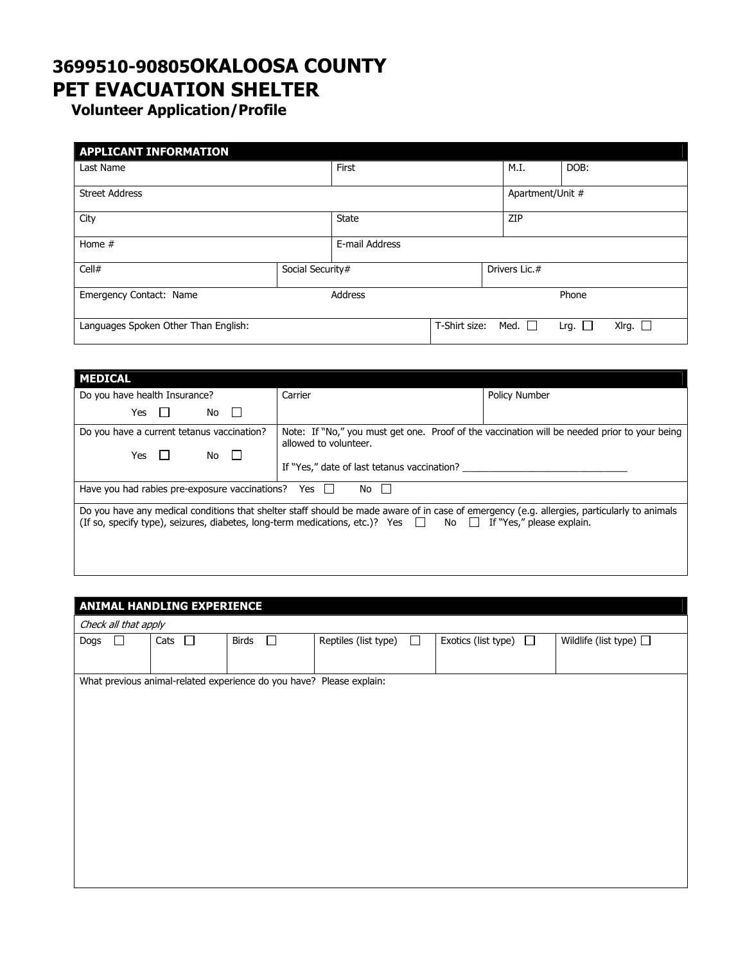## 3699510-90805OKALOOSA COUNTY PET EVACUATION SHELTER

Volunteer Application/Profile

| <b>APPLICANT INFORMATION</b>         |                  |                     |               |                  |                |                 |
|--------------------------------------|------------------|---------------------|---------------|------------------|----------------|-----------------|
| Last Name                            |                  | First               |               | M.I.             | DOB:           |                 |
| <b>Street Address</b>                |                  |                     |               | Apartment/Unit # |                |                 |
| City                                 |                  | ZIP<br><b>State</b> |               |                  |                |                 |
| Home $#$                             |                  | E-mail Address      |               |                  |                |                 |
| Cell#                                | Social Security# |                     | Drivers Lic.# |                  |                |                 |
| Emergency Contact: Name              | Address          |                     | Phone         |                  |                |                 |
| Languages Spoken Other Than English: |                  |                     | T-Shirt size: | Med. $\Box$      | Lrg. $\square$ | XIrg. $\square$ |

| <b>MEDICAL</b>                                                                                                                                                                                                                                                         |         |                      |  |  |  |
|------------------------------------------------------------------------------------------------------------------------------------------------------------------------------------------------------------------------------------------------------------------------|---------|----------------------|--|--|--|
| Do you have health Insurance?                                                                                                                                                                                                                                          | Carrier | <b>Policy Number</b> |  |  |  |
| Yes<br>No.                                                                                                                                                                                                                                                             |         |                      |  |  |  |
| Note: If "No," you must get one. Proof of the vaccination will be needed prior to your being<br>Do you have a current tetanus vaccination?<br>allowed to volunteer.<br>Yes<br>No.<br>If "Yes," date of last tetanus vaccination?                                       |         |                      |  |  |  |
| Have you had rabies pre-exposure vaccinations?<br>Yes<br>No                                                                                                                                                                                                            |         |                      |  |  |  |
| Do you have any medical conditions that shelter staff should be made aware of in case of emergency (e.g. allergies, particularly to animals<br>(If so, specify type), seizures, diabetes, long-term medications, etc.)? Yes $\Box$ No $\Box$ If "Yes," please explain. |         |                      |  |  |  |

## ANIMAL HANDLING EXPERIENCE

| Check all that apply |  |                |                 |                                                                      |        |                               |                             |
|----------------------|--|----------------|-----------------|----------------------------------------------------------------------|--------|-------------------------------|-----------------------------|
| Dogs                 |  | $\Box$<br>Cats | $\Box$<br>Birds | Reptiles (list type)                                                 | $\Box$ | $\Box$<br>Exotics (list type) | Wildlife (list type) $\Box$ |
|                      |  |                |                 |                                                                      |        |                               |                             |
|                      |  |                |                 | What previous animal-related experience do you have? Please explain: |        |                               |                             |
|                      |  |                |                 |                                                                      |        |                               |                             |
|                      |  |                |                 |                                                                      |        |                               |                             |
|                      |  |                |                 |                                                                      |        |                               |                             |
|                      |  |                |                 |                                                                      |        |                               |                             |
|                      |  |                |                 |                                                                      |        |                               |                             |
|                      |  |                |                 |                                                                      |        |                               |                             |
|                      |  |                |                 |                                                                      |        |                               |                             |
|                      |  |                |                 |                                                                      |        |                               |                             |
|                      |  |                |                 |                                                                      |        |                               |                             |
|                      |  |                |                 |                                                                      |        |                               |                             |
|                      |  |                |                 |                                                                      |        |                               |                             |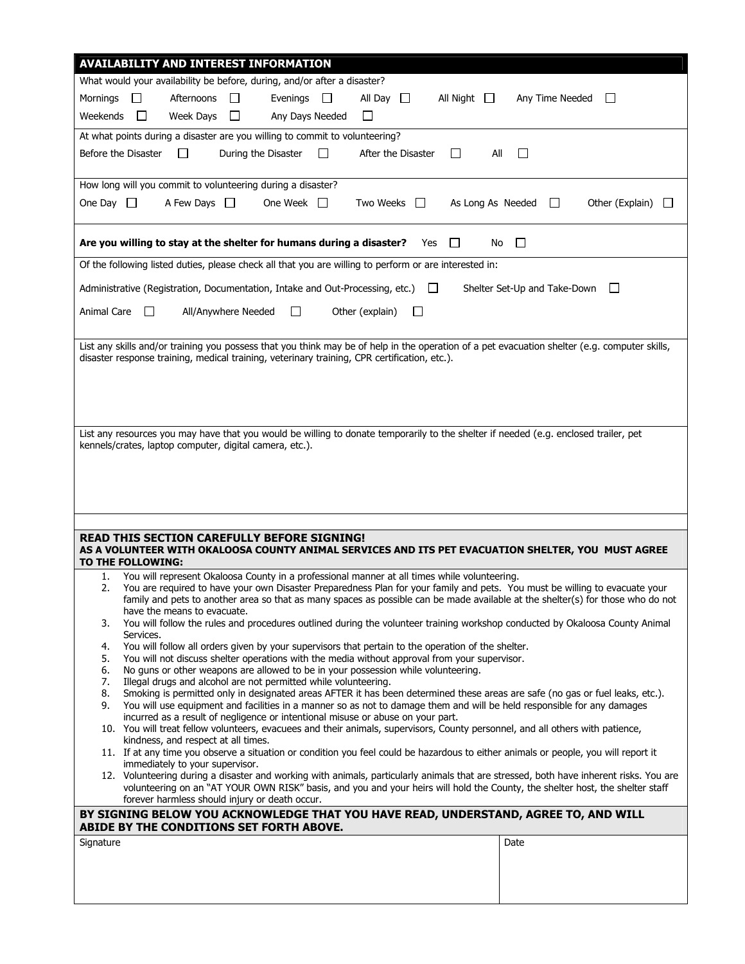| <b>AVAILABILITY AND INTEREST INFORMATION</b>                                                                                                                                                                      |  |  |  |  |  |  |
|-------------------------------------------------------------------------------------------------------------------------------------------------------------------------------------------------------------------|--|--|--|--|--|--|
| What would your availability be before, during, and/or after a disaster?                                                                                                                                          |  |  |  |  |  |  |
| Afternoons<br>Evenings<br>Mornings<br>$\Box$<br>$\Box$<br>$\mathbb{R}^n$<br>All Day $\Box$<br>All Night $\Box$<br>Any Time Needed<br>$\mathbf{L}$                                                                 |  |  |  |  |  |  |
| Weekends<br>$\Box$<br>Week Days<br>$\perp$<br>Any Days Needed<br>$\Box$                                                                                                                                           |  |  |  |  |  |  |
| At what points during a disaster are you willing to commit to volunteering?                                                                                                                                       |  |  |  |  |  |  |
| $\Box$<br>Before the Disaster<br>$\Box$<br>During the Disaster<br>After the Disaster<br>aii<br>$\Box$<br>$\mathbf{L}$                                                                                             |  |  |  |  |  |  |
|                                                                                                                                                                                                                   |  |  |  |  |  |  |
| How long will you commit to volunteering during a disaster?                                                                                                                                                       |  |  |  |  |  |  |
| One Day $\Box$<br>A Few Days $\Box$<br>One Week $\Box$<br>Two Weeks  <br>As Long As Needed<br>Other (Explain)<br>$\Box$<br>$\Box$                                                                                 |  |  |  |  |  |  |
| Are you willing to stay at the shelter for humans during a disaster?<br>$\sim 100$<br>Yes<br>No<br>⊔                                                                                                              |  |  |  |  |  |  |
| Of the following listed duties, please check all that you are willing to perform or are interested in:                                                                                                            |  |  |  |  |  |  |
| Administrative (Registration, Documentation, Intake and Out-Processing, etc.) $\Box$<br>Shelter Set-Up and Take-Down<br>$\Box$                                                                                    |  |  |  |  |  |  |
| Animal Care<br>All/Anywhere Needed<br>Other (explain)<br>$\perp$<br>$\Box$<br>$\mathsf{L}$                                                                                                                        |  |  |  |  |  |  |
|                                                                                                                                                                                                                   |  |  |  |  |  |  |
| List any skills and/or training you possess that you think may be of help in the operation of a pet evacuation shelter (e.g. computer skills,                                                                     |  |  |  |  |  |  |
| disaster response training, medical training, veterinary training, CPR certification, etc.).                                                                                                                      |  |  |  |  |  |  |
|                                                                                                                                                                                                                   |  |  |  |  |  |  |
|                                                                                                                                                                                                                   |  |  |  |  |  |  |
|                                                                                                                                                                                                                   |  |  |  |  |  |  |
| List any resources you may have that you would be willing to donate temporarily to the shelter if needed (e.g. enclosed trailer, pet                                                                              |  |  |  |  |  |  |
| kennels/crates, laptop computer, digital camera, etc.).                                                                                                                                                           |  |  |  |  |  |  |
|                                                                                                                                                                                                                   |  |  |  |  |  |  |
|                                                                                                                                                                                                                   |  |  |  |  |  |  |
|                                                                                                                                                                                                                   |  |  |  |  |  |  |
|                                                                                                                                                                                                                   |  |  |  |  |  |  |
| READ THIS SECTION CAREFULLY BEFORE SIGNING!                                                                                                                                                                       |  |  |  |  |  |  |
| AS A VOLUNTEER WITH OKALOOSA COUNTY ANIMAL SERVICES AND ITS PET EVACUATION SHELTER, YOU  MUST AGREE<br>TO THE FOLLOWING:                                                                                          |  |  |  |  |  |  |
| You will represent Okaloosa County in a professional manner at all times while volunteering.<br>1.                                                                                                                |  |  |  |  |  |  |
| You are required to have your own Disaster Preparedness Plan for your family and pets. You must be willing to evacuate your<br>2.                                                                                 |  |  |  |  |  |  |
| family and pets to another area so that as many spaces as possible can be made available at the shelter(s) for those who do not<br>have the means to evacuate.                                                    |  |  |  |  |  |  |
| You will follow the rules and procedures outlined during the volunteer training workshop conducted by Okaloosa County Animal<br>3.                                                                                |  |  |  |  |  |  |
| Services.<br>You will follow all orders given by your supervisors that pertain to the operation of the shelter.<br>4.                                                                                             |  |  |  |  |  |  |
| You will not discuss shelter operations with the media without approval from your supervisor.<br>5.                                                                                                               |  |  |  |  |  |  |
| No guns or other weapons are allowed to be in your possession while volunteering.<br>6.                                                                                                                           |  |  |  |  |  |  |
| 7.<br>Illegal drugs and alcohol are not permitted while volunteering.<br>8.<br>Smoking is permitted only in designated areas AFTER it has been determined these areas are safe (no gas or fuel leaks, etc.).      |  |  |  |  |  |  |
| 9.<br>You will use equipment and facilities in a manner so as not to damage them and will be held responsible for any damages                                                                                     |  |  |  |  |  |  |
| incurred as a result of negligence or intentional misuse or abuse on your part.<br>10. You will treat fellow volunteers, evacuees and their animals, supervisors, County personnel, and all others with patience, |  |  |  |  |  |  |
| kindness, and respect at all times.                                                                                                                                                                               |  |  |  |  |  |  |
| 11. If at any time you observe a situation or condition you feel could be hazardous to either animals or people, you will report it<br>immediately to your supervisor.                                            |  |  |  |  |  |  |
| 12. Volunteering during a disaster and working with animals, particularly animals that are stressed, both have inherent risks. You are                                                                            |  |  |  |  |  |  |
| volunteering on an "AT YOUR OWN RISK" basis, and you and your heirs will hold the County, the shelter host, the shelter staff<br>forever harmless should injury or death occur.                                   |  |  |  |  |  |  |
| BY SIGNING BELOW YOU ACKNOWLEDGE THAT YOU HAVE READ, UNDERSTAND, AGREE TO, AND WILL<br>ABIDE BY THE CONDITIONS SET FORTH ABOVE.                                                                                   |  |  |  |  |  |  |
| Signature<br>Date                                                                                                                                                                                                 |  |  |  |  |  |  |
|                                                                                                                                                                                                                   |  |  |  |  |  |  |
|                                                                                                                                                                                                                   |  |  |  |  |  |  |
|                                                                                                                                                                                                                   |  |  |  |  |  |  |